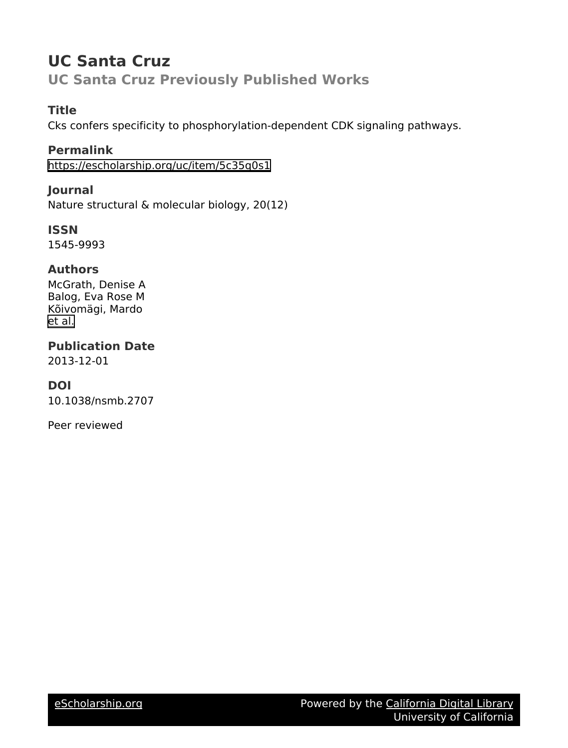## **UC Santa Cruz UC Santa Cruz Previously Published Works**

## **Title**

Cks confers specificity to phosphorylation-dependent CDK signaling pathways.

**Permalink** <https://escholarship.org/uc/item/5c35q0s1>

**Journal** Nature structural & molecular biology, 20(12)

**ISSN** 1545-9993

## **Authors**

McGrath, Denise A Balog, Eva Rose M Kõivomägi, Mardo [et al.](https://escholarship.org/uc/item/5c35q0s1#author)

**Publication Date**

2013-12-01

## **DOI**

10.1038/nsmb.2707

Peer reviewed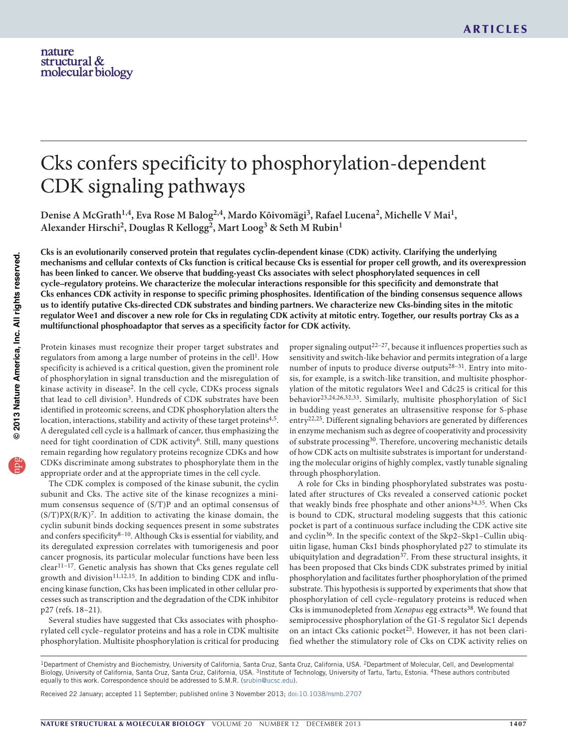# Cks confers specificity to phosphorylation-dependent CDK signaling pathways

Denise A McGrath<sup>1,4</sup>, Eva Rose M Balog<sup>2,4</sup>, Mardo Kõivomägi<sup>3</sup>, Rafael Lucena<sup>2</sup>, Michelle V Mai<sup>1</sup>, **Alexander Hirschi2, Douglas R Kellogg2, Mart Loog3 & Seth M Rubin1**

Cks is an evolutionarily conserved protein that regulates cyclin-dependent kinase (CDK) activity. Clarifying the underlying mechanisms and cellular contexts of Cks function is critical because Cks is essential for proper cell growth, and its overexpression has been linked to cancer. We observe that budding-yeast Cks associates with select phosphorylated sequences in cell **cycle–regulatory proteins. We characterize the molecular interactions responsible for this specificity and demonstrate that** Cks enhances CDK activity in response to specific priming phosphosites. Identification of the binding consensus sequence allows us to identify putative Cks-directed CDK substrates and binding partners. We characterize new Cks-binding sites in the mitotic regulator Wee1 and discover a new role for Cks in regulating CDK activity at mitotic entry. Together, our results portray Cks as a **multifunctional phosphoadaptor that serves as a specificity factor for CDK activity.**

Protein kinases must recognize their proper target substrates and regulators from among a large number of proteins in the cell<sup>1</sup>. How specificity is achieved is a critical question, given the prominent role of phosphorylation in signal transduction and the misregulation of kinase activity in disease2. In the cell cycle, CDKs process signals that lead to cell division<sup>3</sup>. Hundreds of CDK substrates have been identified in proteomic screens, and CDK phosphorylation alters the location, interactions, stability and activity of these target proteins<sup>4,5</sup>. A deregulated cell cycle is a hallmark of cancer, thus emphasizing the need for tight coordination of CDK activity<sup>6</sup>. Still, many questions remain regarding how regulatory proteins recognize CDKs and how CDKs discriminate among substrates to phosphorylate them in the appropriate order and at the appropriate times in the cell cycle.

The CDK complex is composed of the kinase subunit, the cyclin subunit and Cks. The active site of the kinase recognizes a minimum consensus sequence of (S/T)P and an optimal consensus of  $(S/T)PX(R/K)^7$ . In addition to activating the kinase domain, the cyclin subunit binds docking sequences present in some substrates and confers specificity<sup>8-10</sup>. Although Cks is essential for viability, and its deregulated expression correlates with tumorigenesis and poor cancer prognosis, its particular molecular functions have been less clear11–17. Genetic analysis has shown that Cks genes regulate cell growth and division<sup>11,12,15</sup>. In addition to binding CDK and influencing kinase function, Cks has been implicated in other cellular processes such as transcription and the degradation of the CDK inhibitor p27 (refs. 18–21).

Several studies have suggested that Cks associates with phosphorylated cell cycle–regulator proteins and has a role in CDK multisite phosphorylation. Multisite phosphorylation is critical for producing proper signaling output<sup>22–27</sup>, because it influences properties such as sensitivity and switch-like behavior and permits integration of a large number of inputs to produce diverse outputs<sup>28-31</sup>. Entry into mitosis, for example, is a switch-like transition, and multisite phosphorylation of the mitotic regulators Wee1 and Cdc25 is critical for this behavior23,24,26,32,33. Similarly, multisite phosphorylation of Sic1 in budding yeast generates an ultrasensitive response for S-phase entry<sup>22,25</sup>. Different signaling behaviors are generated by differences in enzyme mechanism such as degree of cooperativity and processivity of substrate processing30. Therefore, uncovering mechanistic details of how CDK acts on multisite substrates is important for understanding the molecular origins of highly complex, vastly tunable signaling through phosphorylation.

A role for Cks in binding phosphorylated substrates was postulated after structures of Cks revealed a conserved cationic pocket that weakly binds free phosphate and other anions<sup>34,35</sup>. When Cks is bound to CDK, structural modeling suggests that this cationic pocket is part of a continuous surface including the CDK active site and cyclin36. In the specific context of the Skp2–Skp1–Cullin ubiquitin ligase, human Cks1 binds phosphorylated p27 to stimulate its ubiquitylation and degradation $37$ . From these structural insights, it has been proposed that Cks binds CDK substrates primed by initial phosphorylation and facilitates further phosphorylation of the primed substrate. This hypothesis is supported by experiments that show that phosphorylation of cell cycle–regulatory proteins is reduced when Cks is immunodepleted from *Xenopus* egg extracts<sup>38</sup>. We found that semiprocessive phosphorylation of the G1-S regulator Sic1 depends on an intact Cks cationic pocket<sup>25</sup>. However, it has not been clarified whether the stimulatory role of Cks on CDK activity relies on

Received 22 January; accepted 11 September; published online 3 November 2013; doi:10.1038/nsmb.2707

<sup>&</sup>lt;sup>1</sup>Department of Chemistry and Biochemistry, University of California, Santa Cruz, Santa Cruz, California, USA. <sup>2</sup>Department of Molecular, Cell, and Developmental Biology, University of California, Santa Cruz, Santa Cruz, California, USA. <sup>3</sup>Institute of Technology, University of Tartu, Tartu, Estonia. <sup>4</sup>These authors contributed equally to this work. Correspondence should be addressed to S.M.R. (srubin@ucsc.edu).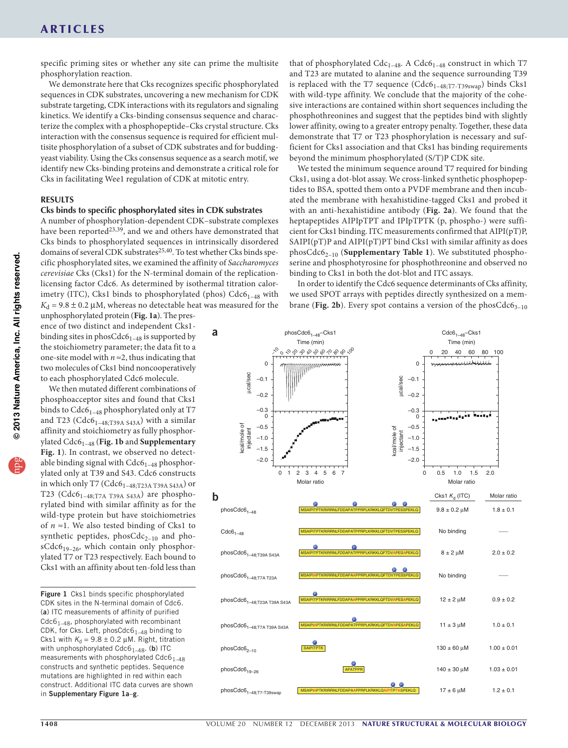specific priming sites or whether any site can prime the multisite phosphorylation reaction.

We demonstrate here that Cks recognizes specific phosphorylated sequences in CDK substrates, uncovering a new mechanism for CDK substrate targeting, CDK interactions with its regulators and signaling kinetics. We identify a Cks-binding consensus sequence and characterize the complex with a phosphopeptide–Cks crystal structure. Cks interaction with the consensus sequence is required for efficient multisite phosphorylation of a subset of CDK substrates and for buddingyeast viability. Using the Cks consensus sequence as a search motif, we identify new Cks-binding proteins and demonstrate a critical role for Cks in facilitating Wee1 regulation of CDK at mitotic entry.

#### **RESULTS**

#### **Cks binds to specific phosphorylated sites in CDK substrates**

A number of phosphorylation-dependent CDK–substrate complexes have been reported<sup>[23,](#page-8-0)39</sup>, and we and others have demonstrated that Cks binds to phosphorylated sequences in intrinsically disordered domains of several CDK substrates<sup>[25,](#page-8-2)[40](#page-8-3)</sup>. To test whether Cks binds specific phosphorylated sites, we examined the affinity of *Saccharomyces cerevisiae* Cks (Cks1) for the N-terminal domain of the replicationlicensing factor Cdc6. As determined by isothermal titration calorimetry (ITC), Cks1 binds to phosphorylated (phos)  $Cdc6<sub>1-48</sub>$  with  $K_d$  = 9.8  $\pm$  0.2 µM, whereas no detectable heat was measured for the

unphosphorylated protein (**[Fig. 1a](#page-2-0)**). The presence of two distinct and independent Cks1binding sites in phosCdc6<sub>1–48</sub> is supported by the stoichiometry parameter; the data fit to a one-site model with  $n \approx 2$ , thus indicating that two molecules of Cks1 bind noncooperatively to each phosphorylated Cdc6 molecule.

We then mutated different combinations of phosphoacceptor sites and found that Cks1 binds to  $Cdc6_{1-48}$  phosphorylated only at T7 and T23 ( $Cdc6_{1-48;T39A\,S43A}$ ) with a similar affinity and stoichiometry as fully phosphorylated Cdc61–48 (**[Fig. 1b](#page-2-0)** and **Supplementary Fig. 1**). In contrast, we observed no detectable binding signal with  $Cdc6<sub>1–48</sub>$  phosphorylated only at T39 and S43. Cdc6 constructs in which only T7 (Cdc61–48;T23A T39A S43A) or T23 (Cdc6<sub>1-48;T7A T39A S43A</sub>) are phosphorylated bind with similar affinity as for the wild-type protein but have stoichiometries of  $n \approx 1$ . We also tested binding of Cks1 to synthetic peptides,  $phosCdc<sub>2-10</sub>$  and  $pho$ sCdc619–26, which contain only phosphorylated T7 or T23 respectively. Each bound to Cks1 with an affinity about ten-fold less than

<span id="page-2-0"></span>Figure 1 Cks1 binds specific phosphorylated CDK sites in the N-terminal domain of Cdc6. (a) ITC measurements of affinity of purified  $Cdc6<sub>1–48</sub>$ , phosphorylated with recombinant CDK, for Cks. Left, phosCdc $6<sub>1–48</sub>$  binding to Cks1 with  $K_d = 9.8 \pm 0.2 \ \mu \text{M}$ . Right, titration with unphosphorylated  $Cdc6_{1-48}$ . (b) ITC measurements with phosphorylated  $Cdc6_{1-48}$ constructs and synthetic peptides. Sequence mutations are highlighted in red within each construct. Additional ITC data curves are shown in Supplementary Figure 1a–g.

that of phosphorylated  $Cdc_{1-48}$ . A  $Cdc_{1-48}$  construct in which T7 and T23 are mutated to alanine and the sequence surrounding T39 is replaced with the T7 sequence  $(Cdc6_{1-48;TT-T39swap})$  binds Cks1 with wild-type affinity. We conclude that the majority of the cohesive interactions are contained within short sequences including the phosphothreonines and suggest that the peptides bind with slightly lower affinity, owing to a greater entropy penalty. Together, these data demonstrate that T7 or T23 phosphorylation is necessary and sufficient for Cks1 association and that Cks1 has binding requirements beyond the minimum phosphorylated (S/T)P CDK site.

We tested the minimum sequence around T7 required for binding Cks1, using a dot-blot assay. We cross-linked synthetic phosphopeptides to BSA, spotted them onto a PVDF membrane and then incubated the membrane with hexahistidine-tagged Cks1 and probed it with an anti-hexahistidine antibody (**[Fig. 2a](#page-3-0)**). We found that the heptapeptides AIPIpTPT and IPIpTPTK (p, phospho-) were sufficient for Cks1 binding. ITC measurements confirmed that AIPI(pT)P, SAIPI( $pT$ )P and AIPI( $pT$ )PT bind Cks1 with similar affinity as does phosCdc62–10 (**Supplementary Table 1**). We substituted phosphoserine and phosphotyrosine for phosphothreonine and observed no binding to Cks1 in both the dot-blot and ITC assays.

In order to identify the Cdc6 sequence determinants of Cks affinity, we used SPOT arrays with peptides directly synthesized on a membrane (**[Fig. 2b](#page-3-0)**). Every spot contains a version of the phosCdc6<sub>3–10</sub>

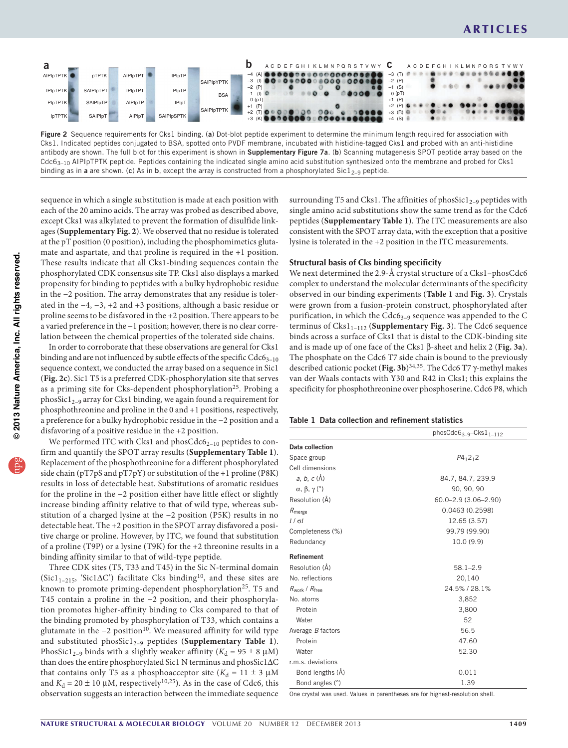

<span id="page-3-0"></span>Figure 2 Sequence requirements for Cks1 binding. (a) Dot-blot peptide experiment to determine the minimum length required for association with Cks1. Indicated peptides conjugated to BSA, spotted onto PVDF membrane, incubated with histidine-tagged Cks1 and probed with an anti-histidine antibody are shown. The full blot for this experiment is shown in Supplementary Figure 7a. (b) Scanning mutagenesis SPOT peptide array based on the  $Cdc6<sub>3-10</sub>$  AIPIpTPTK peptide. Peptides containing the indicated single amino acid substitution synthesized onto the membrane and probed for Cks1 binding as in a are shown. (c) As in b, except the array is constructed from a phosphorylated Sic $1_{2-9}$  peptide.

sequence in which a single substitution is made at each position with each of the 20 amino acids. The array was probed as described above, except Cks1 was alkylated to prevent the formation of disulfide linkages (**Supplementary Fig. 2**). We observed that no residue is tolerated at the pT position (0 position), including the phosphomimetics glutamate and aspartate, and that proline is required in the +1 position. These results indicate that all Cks1-binding sequences contain the phosphorylated CDK consensus site TP. Cks1 also displays a marked propensity for binding to peptides with a bulky hydrophobic residue in the −2 position. The array demonstrates that any residue is tolerated in the −4, −3, +2 and +3 positions, although a basic residue or proline seems to be disfavored in the +2 position. There appears to be a varied preference in the −1 position; however, there is no clear correlation between the chemical properties of the tolerated side chains.

In order to corroborate that these observations are general for Cks1 binding and are not influenced by subtle effects of the specific  $Cdc6_{3-10}$ sequence context, we conducted the array based on a sequence in Sic1 (**[Fig. 2c](#page-3-0)**). Sic1 T5 is a preferred CDK-phosphorylation site that serves as a priming site for Cks-dependent phosphorylation<sup>25</sup>. Probing a phosSic $1_{2-9}$  array for Cks1 binding, we again found a requirement for phosphothreonine and proline in the 0 and +1 positions, respectively, a preference for a bulky hydrophobic residue in the −2 position and a disfavoring of a positive residue in the +2 position.

We performed ITC with Cks1 and  $phosCdc6_{2-10}$  peptides to confirm and quantify the SPOT array results (**Supplementary Table 1**). Replacement of the phosphothreonine for a different phosphorylated side chain (pT7pS and pT7pY) or substitution of the +1 proline (P8K) results in loss of detectable heat. Substitutions of aromatic residues for the proline in the −2 position either have little effect or slightly increase binding affinity relative to that of wild type, whereas substitution of a charged lysine at the −2 position (P5K) results in no detectable heat. The +2 position in the SPOT array disfavored a positive charge or proline. However, by ITC, we found that substitution of a proline (T9P) or a lysine (T9K) for the +2 threonine results in a binding affinity similar to that of wild-type peptide.

Three CDK sites (T5, T33 and T45) in the Sic N-terminal domain (Sic11–215, 'Sic1∆C') facilitate Cks binding[10,](#page-8-4) and these sites are known to promote priming-dependent phosphorylation<sup>25</sup>. T5 and T45 contain a proline in the −2 position, and their phosphorylation promotes higher-affinity binding to Cks compared to that of the binding promoted by phosphorylation of T33, which contains a glutamate in the  $-2$  position<sup>10</sup>. We measured affinity for wild type and substituted phosSic1<sub>2-9</sub> peptides (Supplementary Table 1). PhosSic1<sub>2–9</sub> binds with a slightly weaker affinity ( $K_d$  = 95 ± 8 µM) than does the entire phosphorylated Sic1 N terminus and phosSic1∆C that contains only T5 as a phosphoacceptor site  $(K_d = 11 \pm 3 \mu M)$ and  $K_d = 20 \pm 10 \mu M$ , respectively<sup>[10,](#page-8-4)25</sup>). As in the case of Cdc6, this observation suggests an interaction between the immediate sequence surrounding T5 and Cks1. The affinities of phosSic1 $_{2-9}$  peptides with single amino acid substitutions show the same trend as for the Cdc6 peptides (**Supplementary Table 1**). The ITC measurements are also consistent with the SPOT array data, with the exception that a positive lysine is tolerated in the +2 position in the ITC measurements.

#### **Structural basis of Cks binding specificity**

We next determined the 2.9-Å crystal structure of a Cks1–phosCdc6 complex to understand the molecular determinants of the specificity observed in our binding experiments (**[Table 1](#page-3-1)** and **[Fig. 3](#page-4-0)**). Crystals were grown from a fusion-protein construct, phosphorylated after purification, in which the  $Cdc6_{3-9}$  sequence was appended to the C terminus of Cks1<sub>1-112</sub> (Supplementary Fig. 3). The Cdc6 sequence binds across a surface of Cks1 that is distal to the CDK-binding site and is made up of one face of the Cks1 β-sheet and helix 2 (**[Fig. 3a](#page-4-0)**). The phosphate on the Cdc6 T7 side chain is bound to the previously described cationic pocket (**[Fig. 3b](#page-4-0)**)[34,](#page-8-5)[35](#page-8-6). The Cdc6 T7 γ-methyl makes van der Waals contacts with Y30 and R42 in Cks1; this explains the specificity for phosphothreonine over phosphoserine. Cdc6 P8, which

<span id="page-3-1"></span>

|  |  | Table 1 Data collection and refinement statistics |  |
|--|--|---------------------------------------------------|--|
|  |  |                                                   |  |

|                                   | $phosCdc63-9-Cks11-112$   |  |  |
|-----------------------------------|---------------------------|--|--|
| Data collection                   |                           |  |  |
| Space group                       | $P4_12_12$                |  |  |
| Cell dimensions                   |                           |  |  |
| $a, b, c (\AA)$                   | 84.7, 84.7, 239.9         |  |  |
| $\alpha$ , $\beta$ , $\gamma$ (°) | 90, 90, 90                |  |  |
| Resolution (Å)                    | $60.0 - 2.9(3.06 - 2.90)$ |  |  |
| $R_{\text{merge}}$                | 0.0463(0.2598)            |  |  |
| $I/\sigma I$                      | 12.65 (3.57)              |  |  |
| Completeness (%)                  | 99.79 (99.90)             |  |  |
| Redundancy                        | 10.0(9.9)                 |  |  |
| <b>Refinement</b>                 |                           |  |  |
| Resolution (Å)                    | $58.1 - 2.9$              |  |  |
| No. reflections                   | 20,140                    |  |  |
| $R_{work}$ / $R_{freq}$           | 24.5% / 28.1%             |  |  |
| No. atoms                         | 3,852                     |  |  |
| Protein                           | 3,800                     |  |  |
| Water                             | 52                        |  |  |
| Average B factors                 | 56.5                      |  |  |
| Protein                           | 47.60                     |  |  |
| Water                             | 52.30                     |  |  |
| r.m.s. deviations                 |                           |  |  |
| Bond lengths (Å)                  | 0.011                     |  |  |
| Bond angles (°)                   | 1.39                      |  |  |

One crystal was used. Values in parentheses are for highest-resolution shell.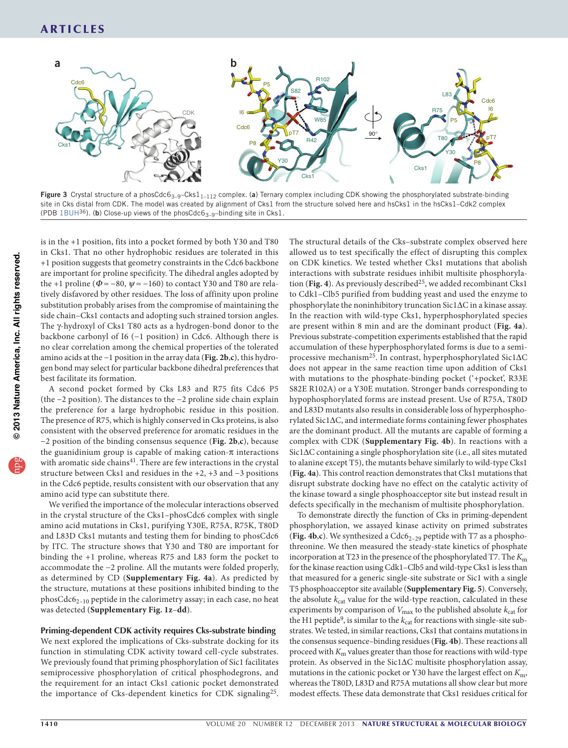

<span id="page-4-0"></span>Figure 3 Crystal structure of a phosCdc6<sub>3-9</sub>-Cks1<sub>1-112</sub> complex. (a) Ternary complex including CDK showing the phosphorylated substrate-binding site in Cks distal from CDK. The model was created by alignment of Cks1 from the structure solved here and hsCks1 in the hsCks1–Cdk2 complex (PDB [1BUH](http://www.rcsb.org/pdb/explore/explore.do?structureId=1BUH)<sup>36</sup>). (b) Close-up views of the phosCdc6<sub>3-9</sub>-binding site in Cks1.

is in the +1 position, fits into a pocket formed by both Y30 and T80 in Cks1. That no other hydrophobic residues are tolerated in this +1 position suggests that geometry constraints in the Cdc6 backbone are important for proline specificity. The dihedral angles adopted by the +1 proline ( $\Phi \approx -80$ ,  $\psi \approx -160$ ) to contact Y30 and T80 are relatively disfavored by other residues. The loss of affinity upon proline substitution probably arises from the compromise of maintaining the side chain–Cks1 contacts and adopting such strained torsion angles. The γ-hydroxyl of Cks1 T80 acts as a hydrogen-bond donor to the backbone carbonyl of I6 (−1 position) in Cdc6. Although there is no clear correlation among the chemical properties of the tolerated amino acids at the −1 position in the array data (**[Fig. 2b](#page-3-0)**,**c**), this hydrogen bond may select for particular backbone dihedral preferences that best facilitate its formation.

A second pocket formed by Cks L83 and R75 fits Cdc6 P5 (the −2 position). The distances to the −2 proline side chain explain the preference for a large hydrophobic residue in this position. The presence of R75, which is highly conserved in Cks proteins, is also consistent with the observed preference for aromatic residues in the −2 position of the binding consensus sequence (**[Fig. 2b](#page-3-0)**,**c**), because the guanidinium group is capable of making cation- $\pi$  interactions with aromatic side chains<sup>[41](#page-8-7)</sup>. There are few interactions in the crystal structure between Cks1 and residues in the +2, +3 and −3 positions in the Cdc6 peptide, results consistent with our observation that any amino acid type can substitute there.

We verified the importance of the molecular interactions observed in the crystal structure of the Cks1–phosCdc6 complex with single amino acid mutations in Cks1, purifying Y30E, R75A, R75K, T80D and L83D Cks1 mutants and testing them for binding to phosCdc6 by ITC. The structure shows that Y30 and T80 are important for binding the +1 proline, whereas R75 and L83 form the pocket to accommodate the −2 proline. All the mutants were folded properly, as determined by CD (**Supplementary Fig. 4a**). As predicted by the structure, mutations at these positions inhibited binding to the phosCdc62–10 peptide in the calorimetry assay; in each case, no heat was detected (**Supplementary Fig. 1z**–**dd**).

#### **Priming-dependent CDK activity requires Cks-substrate binding**

We next explored the implications of Cks-substrate docking for its function in stimulating CDK activity toward cell-cycle substrates. We previously found that priming phosphorylation of Sic1 facilitates semiprocessive phosphorylation of critical phosphodegrons, and the requirement for an intact Cks1 cationic pocket demonstrated the importance of Cks-dependent kinetics for CDK signaling<sup>[25](#page-8-2)</sup>. The structural details of the Cks–substrate complex observed here allowed us to test specifically the effect of disrupting this complex on CDK kinetics. We tested whether Cks1 mutations that abolish interactions with substrate residues inhibit multisite phosphoryla-tion ([Fig. 4](#page-5-0)). As previously described<sup>[25](#page-8-2)</sup>, we added recombinant Cks1 to Cdk1–Clb5 purified from budding yeast and used the enzyme to phosphorylate the noninhibitory truncation Sic1∆C in a kinase assay. In the reaction with wild-type Cks1, hyperphosphorylated species are present within 8 min and are the dominant product (**[Fig. 4a](#page-5-0)**). Previous substrate-competition experiments established that the rapid accumulation of these hyperphosphorylated forms is due to a semiprocessive mechanism[25.](#page-8-2) In contrast, hyperphosphorylated Sic1∆C does not appear in the same reaction time upon addition of Cks1 with mutations to the phosphate-binding pocket ('+pocket', R33E S82E R102A) or a Y30E mutation. Stronger bands corresponding to hypophosphorylated forms are instead present. Use of R75A, T80D and L83D mutants also results in considerable loss of hyperphosphorylated Sic1∆C, and intermediate forms containing fewer phosphates are the dominant product. All the mutants are capable of forming a complex with CDK (**Supplementary Fig. 4b**). In reactions with a Sic1∆C containing a single phosphorylation site (i.e., all sites mutated to alanine except T5), the mutants behave similarly to wild-type Cks1 (**[Fig. 4a](#page-5-0)**). This control reaction demonstrates that Cks1 mutations that disrupt substrate docking have no effect on the catalytic activity of the kinase toward a single phosphoacceptor site but instead result in defects specifically in the mechanism of multisite phosphorylation.

To demonstrate directly the function of Cks in priming-dependent phosphorylation, we assayed kinase activity on primed substrates ([Fig.](#page-5-0) 4b,c). We synthesized a Cdc6<sub>2-29</sub> peptide with T7 as a phosphothreonine. We then measured the steady-state kinetics of phosphate incorporation at T23 in the presence of the phosphorylated T7. The *K*<sup>m</sup> for the kinase reaction using Cdk1–Clb5 and wild-type Cks1 is less than that measured for a generic single-site substrate or Sic1 with a single T5 phosphoacceptor site available (**Supplementary Fig. 5**). Conversely, the absolute  $k_{\text{cat}}$  value for the wild-type reaction, calculated in these experiments by comparison of  $V_{\text{max}}$  to the published absolute  $k_{\text{cat}}$  for the H1 peptide<sup>[9](#page-8-8)</sup>, is similar to the  $k_{\text{cat}}$  for reactions with single-site substrates. We tested, in similar reactions, Cks1 that contains mutations in the consensus sequence–binding residues (**[Fig. 4b](#page-5-0)**). These reactions all proceed with *K*m values greater than those for reactions with wild-type protein. As observed in the Sic1∆C multisite phosphorylation assay, mutations in the cationic pocket or Y30 have the largest effect on *K*m, whereas the T80D, L83D and R75A mutations all show clear but more modest effects. These data demonstrate that Cks1 residues critical for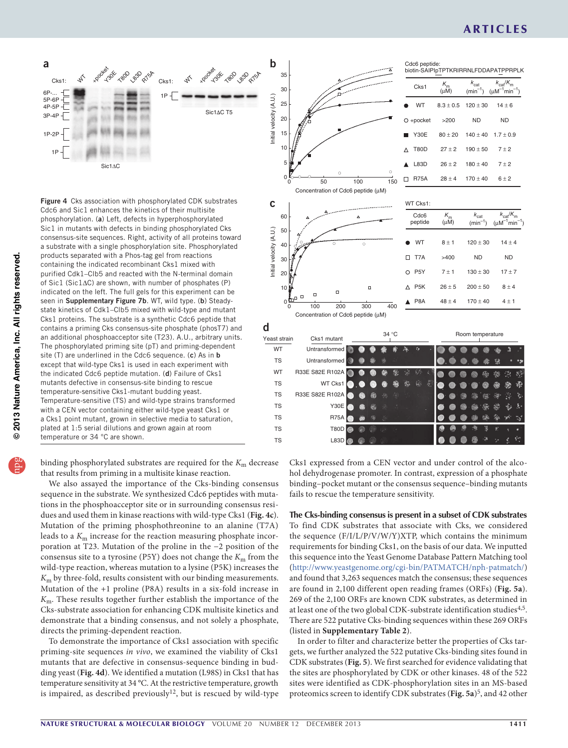## **ARTICLES**



<span id="page-5-0"></span>

Initial velocity (A.U.) 50 40 30 20 10  $\Box$ WT TS WT TS TS TS TS TS TS

Cdc6 peptide: biotin-SAIPIpTPTKRIRRNLFDDAPATPPRPLK  $K$ *k*cat *K*<sup>m</sup> (µM) Cks1  $\kappa_m$   $\kappa_{\text{cat}}$   $\kappa_{\text{cat}}$   $\kappa_{\text{cat}}$  $(min^-$ WT  $8.3 \pm 0.5$  $120 \pm 30$  $14 \pm 6$ ND ND  $\circ$ +pocket >200 Y30E  $80 \pm 20$  $140 \pm 40$  $1.7 \pm 0.9$  $27 \pm 2$  $190 + 50$  $7 \pm 2$  $\Delta$ T80D  $\blacktriangle$ L83D  $26 \pm 2$  $180 \pm 40$  $7 \pm 2$ R75A  $170 \pm 40$  $\Box$  $28 \pm 4$  $6 ± 2$ 0 50 100 150  $\mathbf{C}$  |  $\text{WT Cks1:}$ 



binding phosphorylated substrates are required for the *K*m decrease that results from priming in a multisite kinase reaction.

We also assayed the importance of the Cks-binding consensus sequence in the substrate. We synthesized Cdc6 peptides with mutations in the phosphoacceptor site or in surrounding consensus residues and used them in kinase reactions with wild-type Cks1 (**[Fig. 4c](#page-5-0)**). Mutation of the priming phosphothreonine to an alanine (T7A) leads to a *K*m increase for the reaction measuring phosphate incorporation at T23. Mutation of the proline in the −2 position of the consensus site to a tyrosine (P5Y) does not change the  $K<sub>m</sub>$  from the wild-type reaction, whereas mutation to a lysine (P5K) increases the *K*m by three-fold, results consistent with our binding measurements. Mutation of the +1 proline (P8A) results in a six-fold increase in *K*m. These results together further establish the importance of the Cks-substrate association for enhancing CDK multisite kinetics and demonstrate that a binding consensus, and not solely a phosphate, directs the priming-dependent reaction.

To demonstrate the importance of Cks1 association with specific priming-site sequences *in vivo*, we examined the viability of Cks1 mutants that are defective in consensus-sequence binding in budding yeast (**[Fig. 4d](#page-5-0)**). We identified a mutation (L98S) in Cks1 that has temperature sensitivity at 34 °C. At the restrictive temperature, growth is impaired, as described previously<sup>[12](#page-8-10)</sup>, but is rescued by wild-type Cks1 expressed from a CEN vector and under control of the alcohol dehydrogenase promoter. In contrast, expression of a phosphate binding–pocket mutant or the consensus sequence–binding mutants fails to rescue the temperature sensitivity.

T80D L83D

Concentration of Cdc6 peptide (µM)

 $\overline{0}$ 

> **The Cks-binding consensus is present in a subset of CDK substrates** To find CDK substrates that associate with Cks, we considered the sequence (F/I/L/P/V/W/Y)XTP, which contains the minimum requirements for binding Cks1, on the basis of our data. We inputted this sequence into the Yeast Genome Database Pattern Matching tool (<http://www.yeastgenome.org/cgi-bin/PATMATCH/nph-patmatch/>) and found that 3,263 sequences match the consensus; these sequences are found in 2,100 different open reading frames (ORFs) (**[Fig. 5a](#page-6-0)**). 269 of the 2,100 ORFs are known CDK substrates, as determined in at least one of the two global CDK-substrate identification studies<sup>[4,](#page-8-11)[5](#page-8-12)</sup>. There are 522 putative Cks-binding sequences within these 269 ORFs (listed in **Supplementary Table 2**).

> In order to filter and characterize better the properties of Cks targets, we further analyzed the 522 putative Cks-binding sites found in CDK substrates (**[Fig. 5](#page-6-0)**). We first searched for evidence validating that the sites are phosphorylated by CDK or other kinases. 48 of the 522 sites were identified as CDK-phosphorylation sites in an MS-based proteomics screen to identify CDK substrates ([Fig. 5a](#page-6-0))<sup>[5](#page-8-12)</sup>, and 42 other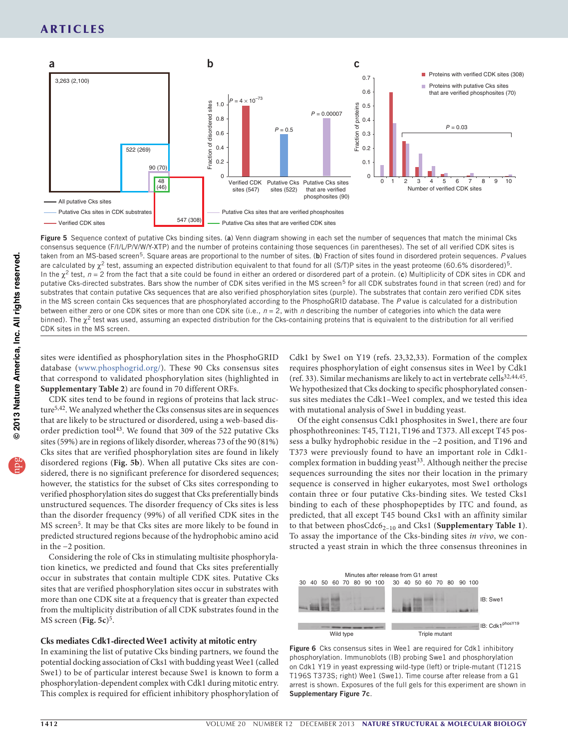

<span id="page-6-0"></span>Figure 5 Sequence context of putative Cks binding sites. (a) Venn diagram showing in each set the number of sequences that match the minimal Cks consensus sequence (F/I/L/P/V/W/Y-XTP) and the number of proteins containing those sequences (in parentheses). The set of all verified CDK sites is taken from an MS-based screen<sup>[5](#page-8-12)</sup>. Square areas are proportional to the number of sites. (b) Fraction of sites found in disordered protein sequences. P values are calculated by  $\chi^2$  test, assuming an expected distribution equivalent to that found for all (S/T)P sites in the yeast proteome (60.6% disordered)<sup>[5](#page-8-12)</sup>. In the  $\chi^2$  test,  $n = 2$  from the fact that a site could be found in either an ordered or disordered part of a protein. (c) Multiplicity of CDK sites in CDK and putative Cks-directed substrates. Bars show the number of CDK sites verified in the MS screen<sup>5</sup> for all CDK substrates found in that screen (red) and for substrates that contain putative Cks sequences that are also verified phosphorylation sites (purple). The substrates that contain zero verified CDK sites in the MS screen contain Cks sequences that are phosphorylated according to the PhosphoGRID database. The *P* value is calculated for a distribution between either zero or one CDK sites or more than one CDK site (i.e., *n* = 2, with *n* describing the number of categories into which the data were binned). The  $\chi^2$  test was used, assuming an expected distribution for the Cks-containing proteins that is equivalent to the distribution for all verified CDK sites in the MS screen.

sites were identified as phosphorylation sites in the PhosphoGRID database (<www.phosphogrid.org/>). These 90 Cks consensus sites that correspond to validated phosphorylation sites (highlighted in **Supplementary Table 2**) are found in 70 different ORFs.

CDK sites tend to be found in regions of proteins that lack structur[e5,](#page-8-12)[42](#page-8-13). We analyzed whether the Cks consensus sites are in sequences that are likely to be structured or disordered, using a web-based disorder prediction tool<sup>43</sup>. We found that 309 of the 522 putative Cks sites (59%) are in regions of likely disorder, whereas 73 of the 90 (81%) Cks sites that are verified phosphorylation sites are found in likely disordered regions (**[Fig. 5b](#page-6-0)**). When all putative Cks sites are considered, there is no significant preference for disordered sequences; however, the statistics for the subset of Cks sites corresponding to verified phosphorylation sites do suggest that Cks preferentially binds unstructured sequences. The disorder frequency of Cks sites is less than the disorder frequency (99%) of all verified CDK sites in the MS screen[5.](#page-8-12) It may be that Cks sites are more likely to be found in predicted structured regions because of the hydrophobic amino acid in the −2 position.

Considering the role of Cks in stimulating multisite phosphorylation kinetics, we predicted and found that Cks sites preferentially occur in substrates that contain multiple CDK sites. Putative Cks sites that are verified phosphorylation sites occur in substrates with more than one CDK site at a frequency that is greater than expected from the multiplicity distribution of all CDK substrates found in the MS screen ([Fig. 5c](#page-6-0))<sup>[5](#page-8-12)</sup>.

#### **Cks mediates Cdk1-directed Wee1 activity at mitotic entry**

In examining the list of putative Cks binding partners, we found the potential docking association of Cks1 with budding yeast Wee1 (called Swe1) to be of particular interest because Swe1 is known to form a phosphorylation-dependent complex with Cdk1 during mitotic entry. This complex is required for efficient inhibitory phosphorylation of Cdk1 by Swe1 on Y19 (refs. [23,](#page-8-0)[32,](#page-8-15)[33\)](#page-8-16). Formation of the complex requires phosphorylation of eight consensus sites in Wee1 by Cdk1 (ref. [33\)](#page-8-16). Similar mechanisms are likely to act in vertebrate cells<sup>[32,](#page-8-15)[44,](#page-8-17)[45](#page-8-18)</sup>. We hypothesized that Cks docking to specific phosphorylated consensus sites mediates the Cdk1–Wee1 complex, and we tested this idea with mutational analysis of Swe1 in budding yeast.

Of the eight consensus Cdk1 phosphosites in Swe1, there are four phosphothreonines: T45, T121, T196 and T373. All except T45 possess a bulky hydrophobic residue in the −2 position, and T196 and T373 were previously found to have an important role in Cdk1-complex formation in budding yeast<sup>[33](#page-8-16)</sup>. Although neither the precise sequences surrounding the sites nor their location in the primary sequence is conserved in higher eukaryotes, most Swe1 orthologs contain three or four putative Cks-binding sites. We tested Cks1 binding to each of these phosphopeptides by ITC and found, as predicted, that all except T45 bound Cks1 with an affinity similar to that between phosCdc6<sub>2-10</sub> and Cks1 (Supplementary Table 1). To assay the importance of the Cks-binding sites *in vivo*, we constructed a yeast strain in which the three consensus threonines in



<span id="page-6-1"></span>Figure 6 Cks consensus sites in Wee1 are required for Cdk1 inhibitory phosphorylation. Immunoblots (IB) probing Swe1 and phosphorylation on Cdk1 Y19 in yeast expressing wild-type (left) or triple-mutant (T121S T196S T373S; right) Wee1 (Swe1). Time course after release from a G1 arrest is shown. Exposures of the full gels for this experiment are shown in Supplementary Figure 7c.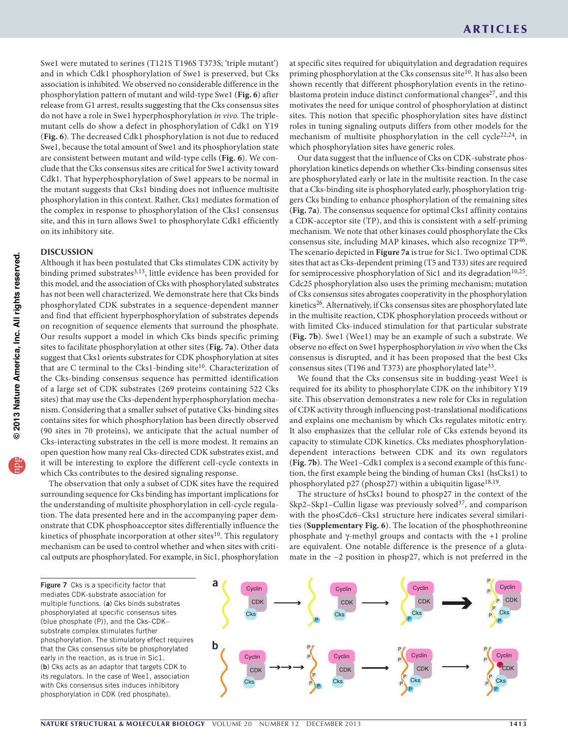Swe1 were mutated to serines (T121S T196S T373S; 'triple mutant') and in which Cdk1 phosphorylation of Swe1 is preserved, but Cks association is inhibited. We observed no considerable difference in the phosphorylation pattern of mutant and wild-type Swe1 (**[Fig. 6](#page-6-1)**) after release from G1 arrest, results suggesting that the Cks consensus sites do not have a role in Swe1 hyperphosphorylation *in vivo.* The triplemutant cells do show a defect in phosphorylation of Cdk1 on Y19 (**[Fig. 6](#page-6-1)**). The decreased Cdk1 phosphorylation is not due to reduced Swe1, because the total amount of Swe1 and its phosphorylation state are consistent between mutant and wild-type cells (**[Fig. 6](#page-6-1)**). We conclude that the Cks consensus sites are critical for Swe1 activity toward Cdk1. That hyperphosphorylation of Swe1 appears to be normal in the mutant suggests that Cks1 binding does not influence multisite phosphorylation in this context. Rather, Cks1 mediates formation of the complex in response to phosphorylation of the Cks1 consensus site, and this in turn allows Swe1 to phosphorylate Cdk1 efficiently on its inhibitory site.

#### **DISCUSSION**

Although it has been postulated that Cks stimulates CDK activity by binding primed substrates<sup>[3,](#page-8-19)13</sup>, little evidence has been provided for this model, and the association of Cks with phosphorylated substrates has not been well characterized. We demonstrate here that Cks binds phosphorylated CDK substrates in a sequence-dependent manner and find that efficient hyperphosphorylation of substrates depends on recognition of sequence elements that surround the phosphate. Our results support a model in which Cks binds specific priming sites to facilitate phosphorylation at other sites (**[Fig. 7a](#page-7-0)**). Other data suggest that Cks1 orients substrates for CDK phosphorylation at sites that are C terminal to the Cks1-binding site<sup>[10](#page-8-4)</sup>. Characterization of the Cks-binding consensus sequence has permitted identification of a large set of CDK substrates (269 proteins containing 522 Cks sites) that may use the Cks-dependent hyperphosphorylation mechanism. Considering that a smaller subset of putative Cks-binding sites contains sites for which phosphorylation has been directly observed (90 sites in 70 proteins), we anticipate that the actual number of Cks-interacting substrates in the cell is more modest. It remains an open question how many real Cks-directed CDK substrates exist, and it will be interesting to explore the different cell-cycle contexts in which Cks contributes to the desired signaling response.

The observation that only a subset of CDK sites have the required surrounding sequence for Cks binding has important implications for the understanding of multisite phosphorylation in cell-cycle regulation. The data presented here and in the accompanying paper demonstrate that CDK phosphoacceptor sites differentially influence the kinetics of phosphate incorporation at other sites<sup>[10](#page-8-4)</sup>. This regulatory mechanism can be used to control whether and when sites with critical outputs are phosphorylated. For example, in Sic1, phosphorylation

at specific sites required for ubiquitylation and degradation requires priming phosphorylation at the Cks consensus site<sup>[10](#page-8-4)</sup>. It has also been shown recently that different phosphorylation events in the retino-blastoma protein induce distinct conformational changes<sup>[27](#page-8-21)</sup>, and this motivates the need for unique control of phosphorylation at distinct sites. This notion that specific phosphorylation sites have distinct roles in tuning signaling outputs differs from other models for the mechanism of multisite phosphorylation in the cell cycle<sup>[22,](#page-8-22)[24](#page-8-23)</sup>, in which phosphorylation sites have generic roles.

Our data suggest that the influence of Cks on CDK-substrate phosphorylation kinetics depends on whether Cks-binding consensus sites are phosphorylated early or late in the multisite reaction. In the case that a Cks-binding site is phosphorylated early, phosphorylation triggers Cks binding to enhance phosphorylation of the remaining sites (**[Fig. 7a](#page-7-0)**). The consensus sequence for optimal Cks1 affinity contains a CDK-acceptor site (TP), and this is consistent with a self-priming mechanism. We note that other kinases could phosphorylate the Cks consensus site, including MAP kinases, which also recognize TP<sup>[46](#page-8-24)</sup>. The scenario depicted in **[Figure 7a](#page-7-0)** is true for Sic1. Two optimal CDK sites that act as Cks-dependent priming (T5 and T33) sites are required for semiprocessive phosphorylation of Sic1 and its degradation<sup>[10,](#page-8-4)[25](#page-8-2)</sup>. Cdc25 phosphorylation also uses the priming mechanism; mutation of Cks consensus sites abrogates cooperativity in the phosphorylation kinetics<sup>[26](#page-8-25)</sup>. Alternatively, if Cks consensus sites are phosphorylated late in the multisite reaction, CDK phosphorylation proceeds without or with limited Cks-induced stimulation for that particular substrate (**[Fig. 7b](#page-7-0)**). Swe1 (Wee1) may be an example of such a substrate. We observe no effect on Swe1 hyperphosphorylation *in vivo* when the Cks consensus is disrupted, and it has been proposed that the best Cks consensus sites (T196 and T373) are phosphorylated late<sup>33</sup>.

We found that the Cks consensus site in budding-yeast Wee1 is required for its ability to phosphorylate CDK on the inhibitory Y19 site. This observation demonstrates a new role for Cks in regulation of CDK activity through influencing post-translational modifications and explains one mechanism by which Cks regulates mitotic entry. It also emphasizes that the cellular role of Cks extends beyond its capacity to stimulate CDK kinetics. Cks mediates phosphorylationdependent interactions between CDK and its own regulators (**[Fig. 7b](#page-7-0)**). The Wee1–Cdk1 complex is a second example of this function, the first example being the binding of human Cks1 (hsCks1) to phosphorylated p27 (phosp27) within a ubiquitin ligase<sup>[18,](#page-8-26)19</sup>.

The structure of hsCks1 bound to phosp27 in the context of the Skp2–Skp1–Cullin ligase was previously solved<sup>[37](#page-8-28)</sup>, and comparison with the phosCdc6–Cks1 structure here indicates several similarities (**Supplementary Fig. 6**). The location of the phosphothreonine phosphate and γ-methyl groups and contacts with the +1 proline are equivalent. One notable difference is the presence of a glutamate in the −2 position in phosp27, which is not preferred in the

<span id="page-7-0"></span>Figure 7 Cks is a specificity factor that mediates CDK-substrate association for multiple functions. (a) Cks binds substrates phosphorylated at specific consensus sites (blue phosphate (P)), and the Cks–CDK– substrate complex stimulates further phosphorylation. The stimulatory effect requires that the Cks consensus site be phosphorylated early in the reaction, as is true in Sic1. (b) Cks acts as an adaptor that targets CDK to its regulators. In the case of Wee1, association with Cks consensus sites induces inhibitory phosphorylation in CDK (red phosphate).

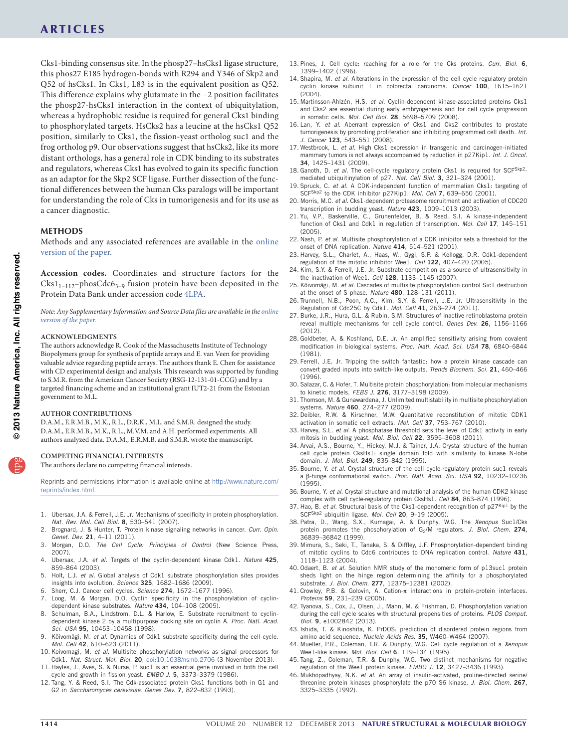## **ARTICLES**

Cks1-binding consensus site. In the phosp27–hsCks1 ligase structure, this phos27 E185 hydrogen-bonds with R294 and Y346 of Skp2 and Q52 of hsCks1. In Cks1, L83 is in the equivalent position as Q52. This difference explains why glutamate in the −2 position facilitates the phosp27-hsCks1 interaction in the context of ubiquitylation, whereas a hydrophobic residue is required for general Cks1 binding to phosphorylated targets. HsCks2 has a leucine at the hsCks1 Q52 position, similarly to Cks1, the fission-yeast ortholog suc1 and the frog ortholog p9. Our observations suggest that hsCks2, like its more distant orthologs, has a general role in CDK binding to its substrates and regulators, whereas Cks1 has evolved to gain its specific function as an adaptor for the Skp2 SCF ligase. Further dissection of the functional differences between the human Cks paralogs will be important for understanding the role of Cks in tumorigenesis and for its use as a cancer diagnostic.

#### **Methods**

Methods and any associated references are available in the [online](http://www.nature.com/doifinder/10.1038/nsmb.2707) [version](http://www.nature.com/doifinder/10.1038/nsmb.2707) of the paper.

**Accession codes.** Coordinates and structure factors for the  $Cks1_{1-112}$ -phos $Cdc6_{3-9}$  fusion protein have been deposited in the Protein Data Bank under accession code [4LPA.](http://www.rcsb.org/pdb/search/structidSearch.do?structureId=4LPA)

*Note: Any Supplementary Information and Source Data files are available in the [online](http://www.nature.com/doifinder/10.1038/nsmb.2707) [version](http://www.nature.com/doifinder/10.1038/nsmb.2707) of the paper.*

#### **Acknowledgments**

The authors acknowledge R. Cook of the Massachusetts Institute of Technology Biopolymers group for synthesis of peptide arrays and E. van Veen for providing valuable advice regarding peptide arrays. The authors thank E. Chen for assistance with CD experimental design and analysis. This research was supported by funding to S.M.R. from the American Cancer Society (RSG-12-131-01-CCG) and by a targeted financing scheme and an institutional grant IUT2-21 from the Estonian government to M.L.

#### **AUTHOR CONTRIBUTIONS**

D.A.M., E.R.M.B., M.K., R.L., D.R.K., M.L. and S.M.R. designed the study. D.A.M., E.R.M.B., M.K., R.L., M.V.M. and A.H. performed experiments. All authors analyzed data. D.A.M., E.R.M.B. and S.M.R. wrote the manuscript.

#### **COMPETING FINANCIAL INTERESTS**

The authors declare no competing financial interests.

Reprints and permissions information is available online at [http://www.nature.com/](http://www.nature.com/reprints/index.html) [reprints/index.html](http://www.nature.com/reprints/index.html).

- 1. Ubersax, J.A. & Ferrell, J.E. Jr. Mechanisms of specificity in protein phosphorylation. *Nat. Rev. Mol. Cell Biol.* 8, 530–541 (2007).
- 2. Brognard, J. & Hunter, T. Protein kinase signaling networks in cancer. *Curr. Opin. Genet. Dev.* 21, 4–11 (2011).
- <span id="page-8-19"></span>3. Morgan, D.O. *The Cell Cycle: Principles of Control* (New Science Press, 2007).
- <span id="page-8-11"></span>4. Ubersax, J.A. *et al.* Targets of the cyclin-dependent kinase Cdk1. *Nature* 425, 859–864 (2003).
- <span id="page-8-12"></span>5. Holt, L.J. *et al.* Global analysis of Cdk1 substrate phosphorylation sites provides insights into evolution. *Science* 325, 1682–1686 (2009).
- 6. Sherr, C.J. Cancer cell cycles. *Science* 274, 1672–1677 (1996).
- Loog, M. & Morgan, D.O. Cyclin specificity in the phosphorylation of cyclindependent kinase substrates. *Nature* 434, 104–108 (2005).
- 8. Schulman, B.A., Lindstrom, D.L. & Harlow, E. Substrate recruitment to cyclindependent kinase 2 by a multipurpose docking site on cyclin A. *Proc. Natl. Acad. Sci. USA* 95, 10453–10458 (1998).
- <span id="page-8-8"></span>9. Kõivomägi, M. *et al.* Dynamics of Cdk1 substrate specificity during the cell cycle. *Mol. Cell* 42, 610–623 (2011).
- <span id="page-8-4"></span>10. Koivomagi, M. *et al.* Multisite phosphorylation networks as signal processors for Cdk1. *Nat. Struct. Mol. Biol.* 20, [doi:10.1038/nsmb.2706](http://www.nature.com/doifinder/10.1038/nsmb.2706) (3 November 2013).
- 11. Hayles, J., Aves, S. & Nurse, P. suc1 is an essential gene involved in both the cell cycle and growth in fission yeast. *EMBO J.* 5, 3373–3379 (1986).
- <span id="page-8-10"></span>12. Tang, Y. & Reed, S.I. The Cdk-associated protein Cks1 functions both in G1 and G2 in *Saccharomyces cerevisiae*. *Genes Dev.* 7, 822–832 (1993).
- <span id="page-8-20"></span>13. Pines, J. Cell cycle: reaching for a role for the Cks proteins. *Curr. Biol.* 6, 1399–1402 (1996).
- 14. Shapira, M. *et al.* Alterations in the expression of the cell cycle regulatory protein cyclin kinase subunit 1 in colorectal carcinoma. *Cancer* 100, 1615–1621 (2004).
- 15. Martinsson-Ahlzén, H.S. *et al.* Cyclin-dependent kinase-associated proteins Cks1 and Cks2 are essential during early embryogenesis and for cell cycle progression in somatic cells. *Mol. Cell Biol.* 28, 5698–5709 (2008).
- 16. Lan, Y. *et al.* Aberrant expression of Cks1 and Cks2 contributes to prostate tumorigenesis by promoting proliferation and inhibiting programmed cell death. *Int. J. Cancer* 123, 543–551 (2008).
- 17. Westbrook, L. *et al.* High Cks1 expression in transgenic and carcinogen-initiated mammary tumors is not always accompanied by reduction in p27Kip1. *Int. J. Oncol.* 34, 1425–1431 (2009).
- <span id="page-8-26"></span>18. Ganoth, D. et al. The cell-cycle regulatory protein Cks1 is required for SCF<sup>Skp2</sup>mediated ubiquitinylation of p27. *Nat. Cell Biol.* 3, 321–324 (2001).
- <span id="page-8-27"></span>19. Spruck, C. *et al.* A CDK-independent function of mammalian Cks1: targeting of SCFSkp2 to the CDK inhibitor p27Kip1. *Mol. Cell* 7, 639–650 (2001).
- 20. Morris, M.C. *et al.* Cks1-dependent proteasome recruitment and activation of CDC20 transcription in budding yeast. *Nature* 423, 1009–1013 (2003).
- 21. Yu, V.P., Baskerville, C., Grunenfelder, B. & Reed, S.I. A kinase-independent function of Cks1 and Cdk1 in regulation of transcription. *Mol. Cell* 17, 145–151 (2005).
- <span id="page-8-22"></span>22. Nash, P. *et al.* Multisite phosphorylation of a CDK inhibitor sets a threshold for the onset of DNA replication. *Nature* 414, 514–521 (2001).
- <span id="page-8-0"></span>23. Harvey, S.L., Charlet, A., Haas, W., Gygi, S.P. & Kellogg, D.R. Cdk1-dependent regulation of the mitotic inhibitor Wee1. *Cell* 122, 407–420 (2005).
- <span id="page-8-23"></span>24. Kim, S.Y. & Ferrell, J.E. Jr. Substrate competition as a source of ultrasensitivity in the inactivation of Wee1. *Cell* 128, 1133–1145 (2007).
- <span id="page-8-2"></span>25. Kõivomägi, M. *et al.* Cascades of multisite phosphorylation control Sic1 destruction at the onset of S phase. *Nature* 480, 128–131 (2011).
- <span id="page-8-25"></span>26. Trunnell, N.B., Poon, A.C., Kim, S.Y. & Ferrell, J.E. Jr. Ultrasensitivity in the Regulation of Cdc25C by Cdk1. *Mol. Cell* 41, 263–274 (2011).
- <span id="page-8-21"></span>27. Burke, J.R., Hura, G.L. & Rubin, S.M. Structures of inactive retinoblastoma protein reveal multiple mechanisms for cell cycle control. *Genes Dev.* 26, 1156–1166 (2012).
- 28. Goldbeter, A. & Koshland, D.E. Jr. An amplified sensitivity arising from covalent modification in biological systems. *Proc. Natl. Acad. Sci. USA* 78, 6840–6844 (1981).
- 29. Ferrell, J.E. Jr. Tripping the switch fantastic: how a protein kinase cascade can convert graded inputs into switch-like outputs. *Trends Biochem. Sci.* 21, 460–466 (1996).
- 30. Salazar, C. & Hofer, T. Multisite protein phosphorylation: from molecular mechanisms to kinetic models. *FEBS J.* 276, 3177–3198 (2009).
- 31. Thomson, M. & Gunawardena, J. Unlimited multistability in multisite phosphorylation systems. *Nature* 460, 274–277 (2009).
- <span id="page-8-15"></span>32. Deibler, R.W. & Kirschner, M.W. Quantitative reconstitution of mitotic CDK1 activation in somatic cell extracts. *Mol. Cell* 37, 753–767 (2010).
- <span id="page-8-16"></span>33. Harvey, S.L. *et al.* A phosphatase threshold sets the level of Cdk1 activity in early mitosis in budding yeast. *Mol. Biol. Cell* 22, 3595–3608 (2011).
- <span id="page-8-5"></span>34. Arvai, A.S., Bourne, Y., Hickey, M.J. & Tainer, J.A. Crystal structure of the human cell cycle protein CksHs1: single domain fold with similarity to kinase N-lobe domain. *J. Mol. Biol.* 249, 835–842 (1995).
- <span id="page-8-6"></span>35. Bourne, Y. *et al.* Crystal structure of the cell cycle-regulatory protein suc1 reveals a β-hinge conformational switch. *Proc. Natl. Acad. Sci. USA* 92, 10232–10236 (1995).
- <span id="page-8-9"></span>36. Bourne, Y. *et al.* Crystal structure and mutational analysis of the human CDK2 kinase complex with cell cycle-regulatory protein CksHs1. *Cell* 84, 863–874 (1996).
- <span id="page-8-28"></span>37. Hao, B. *et al.* Structural basis of the Cks1-dependent recognition of  $p27^{kip1}$  by the SCFSkp2 ubiquitin ligase. *Mol. Cell* 20, 9–19 (2005).
- 38. Patra, D., Wang, S.X., Kumagai, A. & Dunphy, W.G. The *Xenopus* Suc1/Cks protein promotes the phosphorylation of G<sub>2</sub>/M regulators. *J. Biol. Chem.* 274, 36839–36842 (1999).
- <span id="page-8-1"></span>39. Mimura, S., Seki, T., Tanaka, S. & Diffley, J.F. Phosphorylation-dependent binding of mitotic cyclins to Cdc6 contributes to DNA replication control. *Nature* 431, 1118–1123 (2004).
- <span id="page-8-3"></span>40. Odaert, B. *et al.* Solution NMR study of the monomeric form of p13suc1 protein sheds light on the hinge region determining the affinity for a phosphorylated substrate. *J. Biol. Chem.* 277, 12375–12381 (2002).
- <span id="page-8-7"></span>41. Crowley, P.B. & Golovin, A. Cation-π interactions in protein-protein interfaces. *Proteins* 59, 231–239 (2005).
- <span id="page-8-13"></span>42. Tyanova, S., Cox, J., Olsen, J., Mann, M. & Frishman, D. Phosphorylation variation during the cell cycle scales with structural propensities of proteins. *PLOS Comput. Biol.* 9, e1002842 (2013).
- <span id="page-8-14"></span>43. Ishida, T. & Kinoshita, K. PrDOS: prediction of disordered protein regions from amino acid sequence. *Nucleic Acids Res.* 35, W460–W464 (2007).
- <span id="page-8-17"></span>44. Mueller, P.R., Coleman, T.R. & Dunphy, W.G. Cell cycle regulation of a *Xenopus* Wee1-like kinase. *Mol. Biol. Cell* 6, 119–134 (1995).
- <span id="page-8-18"></span>45. Tang, Z., Coleman, T.R. & Dunphy, W.G. Two distinct mechanisms for negative regulation of the Wee1 protein kinase. *EMBO J.* 12, 3427–3436 (1993).
- <span id="page-8-24"></span>46. Mukhopadhyay, N.K. *et al.* An array of insulin-activated, proline-directed serine/ threonine protein kinases phosphorylate the p70 S6 kinase. *J. Biol. Chem.* 267, 3325–3335 (1992).